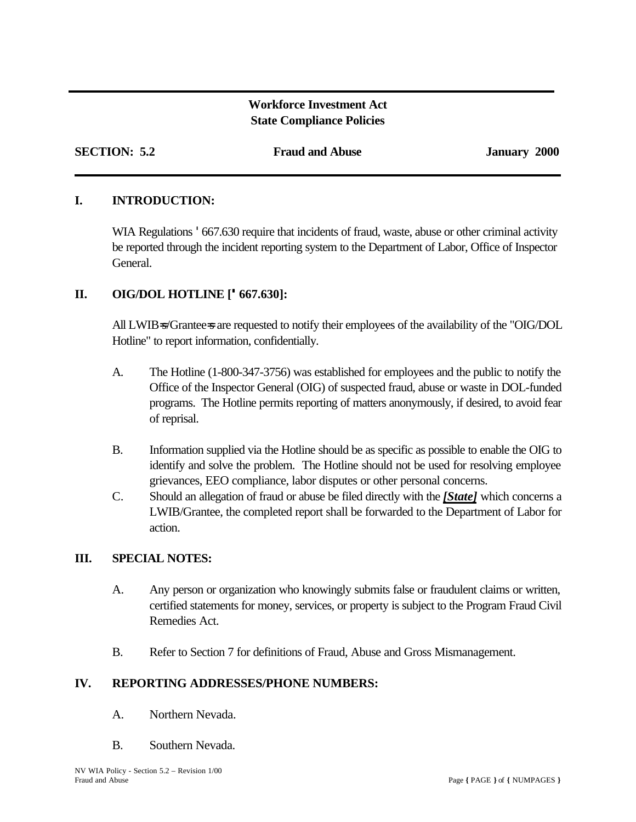# **Workforce Investment Act State Compliance Policies**

**SECTION: 5.2 Fraud and Abuse January 2000**

# **I. INTRODUCTION:**

WIA Regulations  $\cdot$  667.630 require that incidents of fraud, waste, abuse or other criminal activity be reported through the incident reporting system to the Department of Labor, Office of Inspector General.

# **II. OIG/DOL HOTLINE ['667.630]:**

All LWIB=s/Grantee=s are requested to notify their employees of the availability of the "OIG/DOL Hotline" to report information, confidentially.

- A. The Hotline (1-800-347-3756) was established for employees and the public to notify the Office of the Inspector General (OIG) of suspected fraud, abuse or waste in DOL-funded programs. The Hotline permits reporting of matters anonymously, if desired, to avoid fear of reprisal.
- B. Information supplied via the Hotline should be as specific as possible to enable the OIG to identify and solve the problem. The Hotline should not be used for resolving employee grievances, EEO compliance, labor disputes or other personal concerns.
- C. Should an allegation of fraud or abuse be filed directly with the *[State]* which concerns a LWIB/Grantee, the completed report shall be forwarded to the Department of Labor for action.

## **III. SPECIAL NOTES:**

- A. Any person or organization who knowingly submits false or fraudulent claims or written, certified statements for money, services, or property is subject to the Program Fraud Civil Remedies Act.
- B. Refer to Section 7 for definitions of Fraud, Abuse and Gross Mismanagement.

## **IV. REPORTING ADDRESSES/PHONE NUMBERS:**

- A. Northern Nevada.
- B. Southern Nevada.